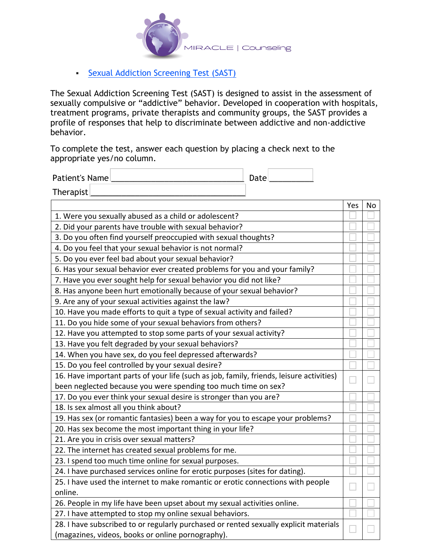

## **• Sexual Addiction Screening Test (SAST)**

The Sexual Addiction Screening Test (SAST) is designed to assist in the assessment of sexually compulsive or "addictive" behavior. Developed in cooperation with hospitals, treatment programs, private therapists and community groups, the SAST provides a profile of responses that help to discriminate between addictive and non-addictive behavior.

To complete the test, answer each question by placing a check next to the appropriate yes/no column.

Patient's Name \_\_\_\_\_\_\_\_\_\_\_\_\_\_\_\_\_\_\_\_\_\_\_\_\_\_\_\_\_\_ Date \_\_\_\_\_\_\_\_\_\_

Therapist <u>| \_ \_ \_ \_ \_ \_ \_ \_ \_ \_ \_ \_ \_ \_ \_ \_</u>

|                                                                                          | Yes | No |
|------------------------------------------------------------------------------------------|-----|----|
| 1. Were you sexually abused as a child or adolescent?                                    |     |    |
| 2. Did your parents have trouble with sexual behavior?                                   |     |    |
| 3. Do you often find yourself preoccupied with sexual thoughts?                          |     |    |
| 4. Do you feel that your sexual behavior is not normal?                                  |     |    |
| 5. Do you ever feel bad about your sexual behavior?                                      |     |    |
| 6. Has your sexual behavior ever created problems for you and your family?               |     |    |
| 7. Have you ever sought help for sexual behavior you did not like?                       |     |    |
| 8. Has anyone been hurt emotionally because of your sexual behavior?                     |     |    |
| 9. Are any of your sexual activities against the law?                                    |     |    |
| 10. Have you made efforts to quit a type of sexual activity and failed?                  |     |    |
| 11. Do you hide some of your sexual behaviors from others?                               |     |    |
| 12. Have you attempted to stop some parts of your sexual activity?                       |     |    |
| 13. Have you felt degraded by your sexual behaviors?                                     |     |    |
| 14. When you have sex, do you feel depressed afterwards?                                 |     |    |
| 15. Do you feel controlled by your sexual desire?                                        |     |    |
| 16. Have important parts of your life (such as job, family, friends, leisure activities) |     |    |
| been neglected because you were spending too much time on sex?                           |     |    |
| 17. Do you ever think your sexual desire is stronger than you are?                       |     |    |
| 18. Is sex almost all you think about?                                                   |     |    |
| 19. Has sex (or romantic fantasies) been a way for you to escape your problems?          |     |    |
| 20. Has sex become the most important thing in your life?                                |     |    |
| 21. Are you in crisis over sexual matters?                                               |     |    |
| 22. The internet has created sexual problems for me.                                     |     |    |
| 23. I spend too much time online for sexual purposes.                                    |     |    |
| 24. I have purchased services online for erotic purposes (sites for dating).             |     |    |
| 25. I have used the internet to make romantic or erotic connections with people          |     |    |
| online.                                                                                  |     |    |
| 26. People in my life have been upset about my sexual activities online.                 |     |    |
| 27. I have attempted to stop my online sexual behaviors.                                 |     |    |
| 28. I have subscribed to or regularly purchased or rented sexually explicit materials    |     |    |
| (magazines, videos, books or online pornography).                                        |     |    |